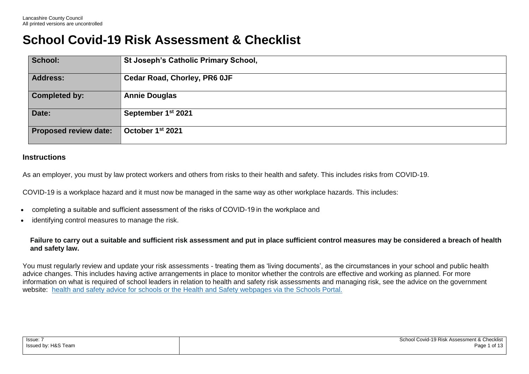## **School Covid-19 Risk Assessment & Checklist**

| School:                      | <b>St Joseph's Catholic Primary School,</b> |
|------------------------------|---------------------------------------------|
| <b>Address:</b>              | <b>Cedar Road, Chorley, PR6 OJF</b>         |
| <b>Completed by:</b>         | <b>Annie Douglas</b>                        |
| Date:                        | September 1 <sup>st</sup> 2021              |
| <b>Proposed review date:</b> | October 1 <sup>st</sup> 2021                |

## **Instructions**

As an employer, you must by law protect workers and others from risks to their health and safety. This includes risks from COVID-19.

COVID-19 is a workplace hazard and it must now be managed in the same way as other workplace hazards. This includes:

- completing a suitable and sufficient assessment of the risks of COVID-19 in the workplace and
- identifying control measures to manage the risk.

**Failure to carry out a suitable and sufficient risk assessment and put in place sufficient control measures may be considered a breach of health and safety law.**

You must regularly review and update your risk assessments - treating them as 'living documents', as the circumstances in your school and public health advice changes. This includes having active arrangements in place to monitor whether the controls are effective and working as planned. For more information on what is required of school leaders in relation to health and safety risk assessments and managing risk, see the advice on the government website: health and safety advice for [schools](https://www.gov.uk/government/publications/health-and-safety-advice-for-schools/responsibilities-and-duties-for-schools) or the Health and Safety webpages via the Schools Portal.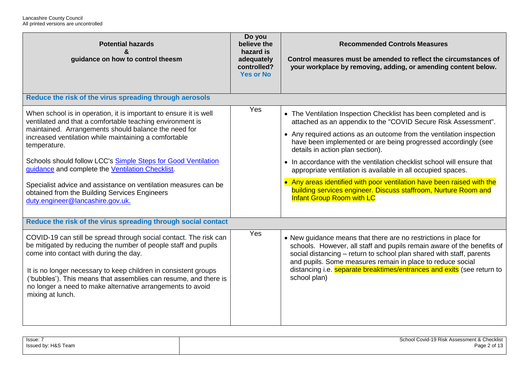| <b>Potential hazards</b><br>&<br>guidance on how to control theesm                                                                                                                                                                                                                                                                                                                                                                                                                                                                           | Do you<br>believe the<br>hazard is<br>adequately<br>controlled?<br><b>Yes or No</b> | <b>Recommended Controls Measures</b><br>Control measures must be amended to reflect the circumstances of<br>your workplace by removing, adding, or amending content below.                                                                                                                                                                                                                                                                                                                                                                                                                                                                  |
|----------------------------------------------------------------------------------------------------------------------------------------------------------------------------------------------------------------------------------------------------------------------------------------------------------------------------------------------------------------------------------------------------------------------------------------------------------------------------------------------------------------------------------------------|-------------------------------------------------------------------------------------|---------------------------------------------------------------------------------------------------------------------------------------------------------------------------------------------------------------------------------------------------------------------------------------------------------------------------------------------------------------------------------------------------------------------------------------------------------------------------------------------------------------------------------------------------------------------------------------------------------------------------------------------|
| Reduce the risk of the virus spreading through aerosols                                                                                                                                                                                                                                                                                                                                                                                                                                                                                      |                                                                                     |                                                                                                                                                                                                                                                                                                                                                                                                                                                                                                                                                                                                                                             |
| When school is in operation, it is important to ensure it is well<br>ventilated and that a comfortable teaching environment is<br>maintained. Arrangements should balance the need for<br>increased ventilation while maintaining a comfortable<br>temperature.<br>Schools should follow LCC's Simple Steps for Good Ventilation<br>guidance and complete the Ventilation Checklist.<br>Specialist advice and assistance on ventilation measures can be<br>obtained from the Building Services Engineers<br>duty.engineer@lancashire.gov.uk. | Yes                                                                                 | • The Ventilation Inspection Checklist has been completed and is<br>attached as an appendix to the "COVID Secure Risk Assessment".<br>• Any required actions as an outcome from the ventilation inspection<br>have been implemented or are being progressed accordingly (see<br>details in action plan section).<br>• In accordance with the ventilation checklist school will ensure that<br>appropriate ventilation is available in all occupied spaces.<br>• Any areas identified with poor ventilation have been raised with the<br>building services engineer. Discuss staffroom, Nurture Room and<br><b>Infant Group Room with LC</b> |
| Reduce the risk of the virus spreading through social contact                                                                                                                                                                                                                                                                                                                                                                                                                                                                                |                                                                                     |                                                                                                                                                                                                                                                                                                                                                                                                                                                                                                                                                                                                                                             |
| COVID-19 can still be spread through social contact. The risk can<br>be mitigated by reducing the number of people staff and pupils<br>come into contact with during the day.<br>It is no longer necessary to keep children in consistent groups<br>('bubbles'). This means that assemblies can resume, and there is<br>no longer a need to make alternative arrangements to avoid<br>mixing at lunch.                                                                                                                                       | Yes                                                                                 | • New guidance means that there are no restrictions in place for<br>schools. However, all staff and pupils remain aware of the benefits of<br>social distancing - return to school plan shared with staff, parents<br>and pupils. Some measures remain in place to reduce social<br>distancing i.e. <b>separate breaktimes/entrances and exits</b> (see return to<br>school plan)                                                                                                                                                                                                                                                           |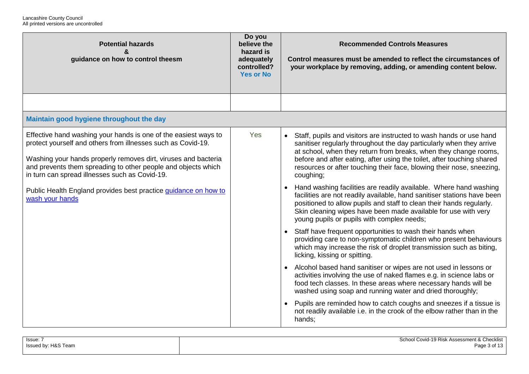| <b>Potential hazards</b><br>$\boldsymbol{\kappa}$<br>guidance on how to control theesm                                                                                                                                                                                                                                                                                                                     | Do you<br>believe the<br>hazard is<br>adequately<br>controlled?<br><b>Yes or No</b> | <b>Recommended Controls Measures</b><br>Control measures must be amended to reflect the circumstances of<br>your workplace by removing, adding, or amending content below.                                                                                                                                                                                                                                                                                                                                                                                                                                                                                                                                                                                                                                                                                                                                                                                                                                                                                                                                                                                                                                                                                                                                                                                                                                |
|------------------------------------------------------------------------------------------------------------------------------------------------------------------------------------------------------------------------------------------------------------------------------------------------------------------------------------------------------------------------------------------------------------|-------------------------------------------------------------------------------------|-----------------------------------------------------------------------------------------------------------------------------------------------------------------------------------------------------------------------------------------------------------------------------------------------------------------------------------------------------------------------------------------------------------------------------------------------------------------------------------------------------------------------------------------------------------------------------------------------------------------------------------------------------------------------------------------------------------------------------------------------------------------------------------------------------------------------------------------------------------------------------------------------------------------------------------------------------------------------------------------------------------------------------------------------------------------------------------------------------------------------------------------------------------------------------------------------------------------------------------------------------------------------------------------------------------------------------------------------------------------------------------------------------------|
|                                                                                                                                                                                                                                                                                                                                                                                                            |                                                                                     |                                                                                                                                                                                                                                                                                                                                                                                                                                                                                                                                                                                                                                                                                                                                                                                                                                                                                                                                                                                                                                                                                                                                                                                                                                                                                                                                                                                                           |
| Maintain good hygiene throughout the day                                                                                                                                                                                                                                                                                                                                                                   |                                                                                     |                                                                                                                                                                                                                                                                                                                                                                                                                                                                                                                                                                                                                                                                                                                                                                                                                                                                                                                                                                                                                                                                                                                                                                                                                                                                                                                                                                                                           |
| Effective hand washing your hands is one of the easiest ways to<br>protect yourself and others from illnesses such as Covid-19.<br>Washing your hands properly removes dirt, viruses and bacteria<br>and prevents them spreading to other people and objects which<br>in turn can spread illnesses such as Covid-19.<br>Public Health England provides best practice guidance on how to<br>wash your hands | Yes                                                                                 | Staff, pupils and visitors are instructed to wash hands or use hand<br>sanitiser regularly throughout the day particularly when they arrive<br>at school, when they return from breaks, when they change rooms,<br>before and after eating, after using the toilet, after touching shared<br>resources or after touching their face, blowing their nose, sneezing,<br>coughing;<br>Hand washing facilities are readily available. Where hand washing<br>facilities are not readily available, hand sanitiser stations have been<br>positioned to allow pupils and staff to clean their hands regularly.<br>Skin cleaning wipes have been made available for use with very<br>young pupils or pupils with complex needs;<br>Staff have frequent opportunities to wash their hands when<br>providing care to non-symptomatic children who present behaviours<br>which may increase the risk of droplet transmission such as biting,<br>licking, kissing or spitting.<br>Alcohol based hand sanitiser or wipes are not used in lessons or<br>activities involving the use of naked flames e.g. in science labs or<br>food tech classes. In these areas where necessary hands will be<br>washed using soap and running water and dried thoroughly;<br>Pupils are reminded how to catch coughs and sneezes if a tissue is<br>not readily available i.e. in the crook of the elbow rather than in the<br>hands; |

| Issue: 7            | School Covid-19 Risk Assessment & Checklist |
|---------------------|---------------------------------------------|
| Issued by: H&S Team | Page 3 of 13                                |
|                     |                                             |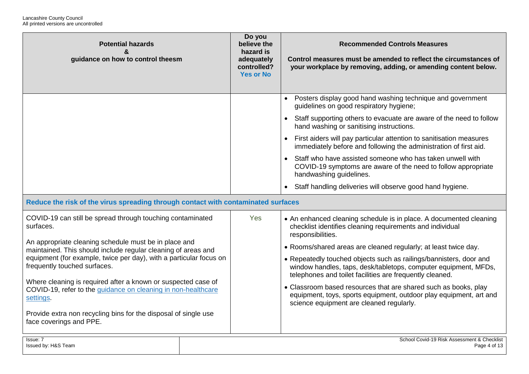| <b>Potential hazards</b><br>&<br>guidance on how to control theesm                                                                                                                                                                                                                                                                                                                                                                                                                                                                                   | Do you<br>believe the<br>hazard is<br>adequately<br>controlled?<br><b>Yes or No</b> | <b>Recommended Controls Measures</b><br>Control measures must be amended to reflect the circumstances of<br>your workplace by removing, adding, or amending content below.                                                                                                                                                                                                                                                                                                                                                                                                                                        |
|------------------------------------------------------------------------------------------------------------------------------------------------------------------------------------------------------------------------------------------------------------------------------------------------------------------------------------------------------------------------------------------------------------------------------------------------------------------------------------------------------------------------------------------------------|-------------------------------------------------------------------------------------|-------------------------------------------------------------------------------------------------------------------------------------------------------------------------------------------------------------------------------------------------------------------------------------------------------------------------------------------------------------------------------------------------------------------------------------------------------------------------------------------------------------------------------------------------------------------------------------------------------------------|
|                                                                                                                                                                                                                                                                                                                                                                                                                                                                                                                                                      |                                                                                     | Posters display good hand washing technique and government<br>guidelines on good respiratory hygiene;<br>Staff supporting others to evacuate are aware of the need to follow<br>hand washing or sanitising instructions.<br>First aiders will pay particular attention to sanitisation measures<br>immediately before and following the administration of first aid.<br>Staff who have assisted someone who has taken unwell with<br>COVID-19 symptoms are aware of the need to follow appropriate<br>handwashing guidelines.                                                                                     |
| Reduce the risk of the virus spreading through contact with contaminated surfaces                                                                                                                                                                                                                                                                                                                                                                                                                                                                    |                                                                                     | Staff handling deliveries will observe good hand hygiene.                                                                                                                                                                                                                                                                                                                                                                                                                                                                                                                                                         |
| COVID-19 can still be spread through touching contaminated<br>surfaces.<br>An appropriate cleaning schedule must be in place and<br>maintained. This should include regular cleaning of areas and<br>equipment (for example, twice per day), with a particular focus on<br>frequently touched surfaces.<br>Where cleaning is required after a known or suspected case of<br>COVID-19, refer to the guidance on cleaning in non-healthcare<br>settings.<br>Provide extra non recycling bins for the disposal of single use<br>face coverings and PPE. | Yes                                                                                 | • An enhanced cleaning schedule is in place. A documented cleaning<br>checklist identifies cleaning requirements and individual<br>responsibilities.<br>• Rooms/shared areas are cleaned regularly; at least twice day.<br>• Repeatedly touched objects such as railings/bannisters, door and<br>window handles, taps, desk/tabletops, computer equipment, MFDs,<br>telephones and toilet facilities are frequently cleaned.<br>• Classroom based resources that are shared such as books, play<br>equipment, toys, sports equipment, outdoor play equipment, art and<br>science equipment are cleaned regularly. |
| Issue: 7<br>Issued by: H&S Team                                                                                                                                                                                                                                                                                                                                                                                                                                                                                                                      |                                                                                     | School Covid-19 Risk Assessment & Checklist<br>Page 4 of 13                                                                                                                                                                                                                                                                                                                                                                                                                                                                                                                                                       |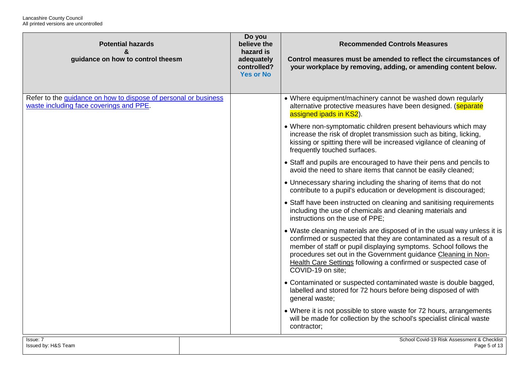| <b>Potential hazards</b><br>&<br>guidance on how to control theesm                                         | Do you<br>believe the<br>hazard is<br>adequately<br>controlled?<br><b>Yes or No</b> | <b>Recommended Controls Measures</b><br>Control measures must be amended to reflect the circumstances of<br>your workplace by removing, adding, or amending content below.                                                                                                                                                                                                   |
|------------------------------------------------------------------------------------------------------------|-------------------------------------------------------------------------------------|------------------------------------------------------------------------------------------------------------------------------------------------------------------------------------------------------------------------------------------------------------------------------------------------------------------------------------------------------------------------------|
|                                                                                                            |                                                                                     |                                                                                                                                                                                                                                                                                                                                                                              |
| Refer to the guidance on how to dispose of personal or business<br>waste including face coverings and PPE. |                                                                                     | • Where equipment/machinery cannot be washed down regularly<br>alternative protective measures have been designed. (separate<br>assigned ipads in KS2).                                                                                                                                                                                                                      |
|                                                                                                            |                                                                                     | • Where non-symptomatic children present behaviours which may<br>increase the risk of droplet transmission such as biting, licking,<br>kissing or spitting there will be increased vigilance of cleaning of<br>frequently touched surfaces.                                                                                                                                  |
|                                                                                                            |                                                                                     | • Staff and pupils are encouraged to have their pens and pencils to<br>avoid the need to share items that cannot be easily cleaned;                                                                                                                                                                                                                                          |
|                                                                                                            |                                                                                     | • Unnecessary sharing including the sharing of items that do not<br>contribute to a pupil's education or development is discouraged;                                                                                                                                                                                                                                         |
|                                                                                                            |                                                                                     | • Staff have been instructed on cleaning and sanitising requirements<br>including the use of chemicals and cleaning materials and<br>instructions on the use of PPE;                                                                                                                                                                                                         |
|                                                                                                            |                                                                                     | • Waste cleaning materials are disposed of in the usual way unless it is<br>confirmed or suspected that they are contaminated as a result of a<br>member of staff or pupil displaying symptoms. School follows the<br>procedures set out in the Government guidance Cleaning in Non-<br>Health Care Settings following a confirmed or suspected case of<br>COVID-19 on site; |
|                                                                                                            |                                                                                     | • Contaminated or suspected contaminated waste is double bagged,<br>labelled and stored for 72 hours before being disposed of with<br>general waste;                                                                                                                                                                                                                         |
|                                                                                                            |                                                                                     | • Where it is not possible to store waste for 72 hours, arrangements<br>will be made for collection by the school's specialist clinical waste<br>contractor;                                                                                                                                                                                                                 |
| Issue: 7                                                                                                   |                                                                                     | School Covid-19 Risk Assessment & Checklist                                                                                                                                                                                                                                                                                                                                  |
| Issued by: H&S Team                                                                                        |                                                                                     | Page 5 of 13                                                                                                                                                                                                                                                                                                                                                                 |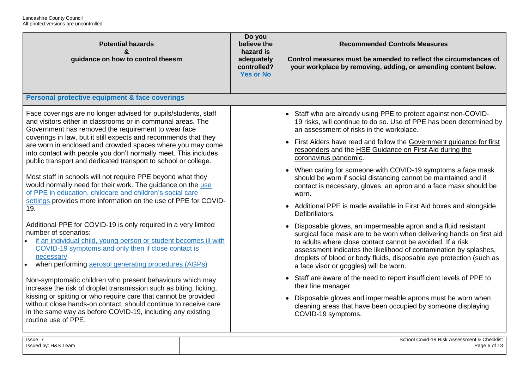| <b>Potential hazards</b><br>&<br>guidance on how to control theesm                                                                                                                                                                                                                                                                                                                                                                                                                                                                                                                                                                                                                                                                                                                                                                                                                                                                                                                                                                                                                                                                                                                                                                                                                                                                                                                       | Do you<br>believe the<br>hazard is<br>adequately<br>controlled?<br><b>Yes or No</b> | <b>Recommended Controls Measures</b><br>Control measures must be amended to reflect the circumstances of<br>your workplace by removing, adding, or amending content below.                                                                                                                                                                                                                                                                                                                                                                                                                                                                                                                                                                                                                                                                                                                                                                                                                                                                                                                                                                                                                                                                                                                                      |
|------------------------------------------------------------------------------------------------------------------------------------------------------------------------------------------------------------------------------------------------------------------------------------------------------------------------------------------------------------------------------------------------------------------------------------------------------------------------------------------------------------------------------------------------------------------------------------------------------------------------------------------------------------------------------------------------------------------------------------------------------------------------------------------------------------------------------------------------------------------------------------------------------------------------------------------------------------------------------------------------------------------------------------------------------------------------------------------------------------------------------------------------------------------------------------------------------------------------------------------------------------------------------------------------------------------------------------------------------------------------------------------|-------------------------------------------------------------------------------------|-----------------------------------------------------------------------------------------------------------------------------------------------------------------------------------------------------------------------------------------------------------------------------------------------------------------------------------------------------------------------------------------------------------------------------------------------------------------------------------------------------------------------------------------------------------------------------------------------------------------------------------------------------------------------------------------------------------------------------------------------------------------------------------------------------------------------------------------------------------------------------------------------------------------------------------------------------------------------------------------------------------------------------------------------------------------------------------------------------------------------------------------------------------------------------------------------------------------------------------------------------------------------------------------------------------------|
| Personal protective equipment & face coverings                                                                                                                                                                                                                                                                                                                                                                                                                                                                                                                                                                                                                                                                                                                                                                                                                                                                                                                                                                                                                                                                                                                                                                                                                                                                                                                                           |                                                                                     |                                                                                                                                                                                                                                                                                                                                                                                                                                                                                                                                                                                                                                                                                                                                                                                                                                                                                                                                                                                                                                                                                                                                                                                                                                                                                                                 |
| Face coverings are no longer advised for pupils/students, staff<br>and visitors either in classrooms or in communal areas. The<br>Government has removed the requirement to wear face<br>coverings in law, but it still expects and recommends that they<br>are worn in enclosed and crowded spaces where you may come<br>into contact with people you don't normally meet. This includes<br>public transport and dedicated transport to school or college.<br>Most staff in schools will not require PPE beyond what they<br>would normally need for their work. The guidance on the use<br>of PPE in education, childcare and children's social care<br>settings provides more information on the use of PPE for COVID-<br>19.<br>Additional PPE for COVID-19 is only required in a very limited<br>number of scenarios:<br>if an individual child, young person or student becomes ill with<br>COVID-19 symptoms and only then if close contact is<br>necessary<br>when performing aerosol generating procedures (AGPs)<br>Non-symptomatic children who present behaviours which may<br>increase the risk of droplet transmission such as biting, licking,<br>kissing or spitting or who require care that cannot be provided<br>without close hands-on contact, should continue to receive care<br>in the same way as before COVID-19, including any existing<br>routine use of PPE. |                                                                                     | • Staff who are already using PPE to protect against non-COVID-<br>19 risks, will continue to do so. Use of PPE has been determined by<br>an assessment of risks in the workplace.<br>• First Aiders have read and follow the Government guidance for first<br>responders and the HSE Guidance on First Aid during the<br>coronavirus pandemic.<br>• When caring for someone with COVID-19 symptoms a face mask<br>should be worn if social distancing cannot be maintained and if<br>contact is necessary, gloves, an apron and a face mask should be<br>worn.<br>• Additional PPE is made available in First Aid boxes and alongside<br>Defibrillators.<br>• Disposable gloves, an impermeable apron and a fluid resistant<br>surgical face mask are to be worn when delivering hands on first aid<br>to adults where close contact cannot be avoided. If a risk<br>assessment indicates the likelihood of contamination by splashes,<br>droplets of blood or body fluids, disposable eye protection (such as<br>a face visor or goggles) will be worn.<br>• Staff are aware of the need to report insufficient levels of PPE to<br>their line manager.<br>• Disposable gloves and impermeable aprons must be worn when<br>cleaning areas that have been occupied by someone displaying<br>COVID-19 symptoms. |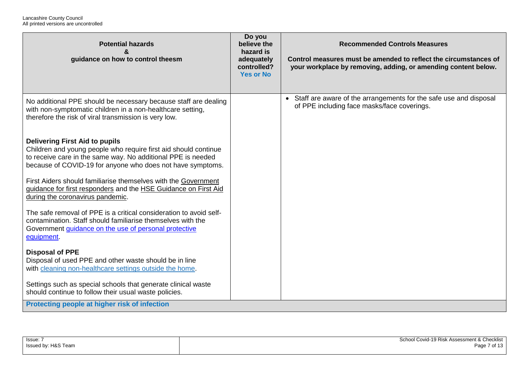| <b>Potential hazards</b><br>guidance on how to control theesm                                                                                                                                                                          | Do you<br>believe the<br>hazard is<br>adequately<br>controlled?<br><b>Yes or No</b> | <b>Recommended Controls Measures</b><br>Control measures must be amended to reflect the circumstances of<br>your workplace by removing, adding, or amending content below. |
|----------------------------------------------------------------------------------------------------------------------------------------------------------------------------------------------------------------------------------------|-------------------------------------------------------------------------------------|----------------------------------------------------------------------------------------------------------------------------------------------------------------------------|
| No additional PPE should be necessary because staff are dealing<br>with non-symptomatic children in a non-healthcare setting,<br>therefore the risk of viral transmission is very low.                                                 |                                                                                     | • Staff are aware of the arrangements for the safe use and disposal<br>of PPE including face masks/face coverings.                                                         |
| <b>Delivering First Aid to pupils</b><br>Children and young people who require first aid should continue<br>to receive care in the same way. No additional PPE is needed<br>because of COVID-19 for anyone who does not have symptoms. |                                                                                     |                                                                                                                                                                            |
| First Aiders should familiarise themselves with the Government<br>guidance for first responders and the HSE Guidance on First Aid<br>during the coronavirus pandemic.                                                                  |                                                                                     |                                                                                                                                                                            |
| The safe removal of PPE is a critical consideration to avoid self-<br>contamination. Staff should familiarise themselves with the<br>Government guidance on the use of personal protective<br>equipment.                               |                                                                                     |                                                                                                                                                                            |
| <b>Disposal of PPE</b><br>Disposal of used PPE and other waste should be in line<br>with cleaning non-healthcare settings outside the home.                                                                                            |                                                                                     |                                                                                                                                                                            |
| Settings such as special schools that generate clinical waste<br>should continue to follow their usual waste policies.                                                                                                                 |                                                                                     |                                                                                                                                                                            |
| Protecting people at higher risk of infection                                                                                                                                                                                          |                                                                                     |                                                                                                                                                                            |

| Issue:              | School Covid-19 Risk Assessment & Checklist |
|---------------------|---------------------------------------------|
| Issued by: H&S Team | Page 7 of 13                                |
|                     |                                             |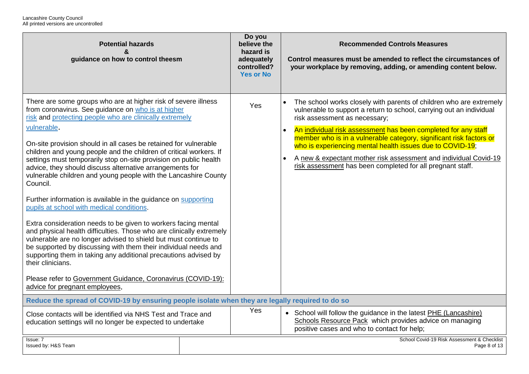| <b>Potential hazards</b><br>guidance on how to control theesm                                                                                                                                                                                                                                                                                                                                                                                                                                                                                                                                                                                                                                                                                                                                                                                                                                                                                                                                                                                                                                                                                     |  | Do you<br>believe the<br>hazard is<br>adequately<br>controlled?<br><b>Yes or No</b> | <b>Recommended Controls Measures</b><br>Control measures must be amended to reflect the circumstances of<br>your workplace by removing, adding, or amending content below.                                                                                                                                                                                                                                                                                                                                           |
|---------------------------------------------------------------------------------------------------------------------------------------------------------------------------------------------------------------------------------------------------------------------------------------------------------------------------------------------------------------------------------------------------------------------------------------------------------------------------------------------------------------------------------------------------------------------------------------------------------------------------------------------------------------------------------------------------------------------------------------------------------------------------------------------------------------------------------------------------------------------------------------------------------------------------------------------------------------------------------------------------------------------------------------------------------------------------------------------------------------------------------------------------|--|-------------------------------------------------------------------------------------|----------------------------------------------------------------------------------------------------------------------------------------------------------------------------------------------------------------------------------------------------------------------------------------------------------------------------------------------------------------------------------------------------------------------------------------------------------------------------------------------------------------------|
| There are some groups who are at higher risk of severe illness<br>from coronavirus. See guidance on who is at higher<br>risk and protecting people who are clinically extremely<br>vulnerable.<br>On-site provision should in all cases be retained for vulnerable<br>children and young people and the children of critical workers. If<br>settings must temporarily stop on-site provision on public health<br>advice, they should discuss alternative arrangements for<br>vulnerable children and young people with the Lancashire County<br>Council.<br>Further information is available in the guidance on supporting<br>pupils at school with medical conditions.<br>Extra consideration needs to be given to workers facing mental<br>and physical health difficulties. Those who are clinically extremely<br>vulnerable are no longer advised to shield but must continue to<br>be supported by discussing with them their individual needs and<br>supporting them in taking any additional precautions advised by<br>their clinicians.<br>Please refer to Government Guidance, Coronavirus (COVID-19):<br>advice for pregnant employees, |  | Yes                                                                                 | The school works closely with parents of children who are extremely<br>vulnerable to support a return to school, carrying out an individual<br>risk assessment as necessary;<br>An individual risk assessment has been completed for any staff<br>member who is in a vulnerable category, significant risk factors or<br>who is experiencing mental health issues due to COVID-19;<br>A new & expectant mother risk assessment and individual Covid-19<br>risk assessment has been completed for all pregnant staff. |
| Reduce the spread of COVID-19 by ensuring people isolate when they are legally required to do so                                                                                                                                                                                                                                                                                                                                                                                                                                                                                                                                                                                                                                                                                                                                                                                                                                                                                                                                                                                                                                                  |  |                                                                                     |                                                                                                                                                                                                                                                                                                                                                                                                                                                                                                                      |
| Close contacts will be identified via NHS Test and Trace and<br>education settings will no longer be expected to undertake                                                                                                                                                                                                                                                                                                                                                                                                                                                                                                                                                                                                                                                                                                                                                                                                                                                                                                                                                                                                                        |  | Yes                                                                                 | • School will follow the guidance in the latest PHE (Lancashire)<br>Schools Resource Pack which provides advice on managing<br>positive cases and who to contact for help;                                                                                                                                                                                                                                                                                                                                           |
| Issue: 7<br>Issued by: H&S Team                                                                                                                                                                                                                                                                                                                                                                                                                                                                                                                                                                                                                                                                                                                                                                                                                                                                                                                                                                                                                                                                                                                   |  |                                                                                     | School Covid-19 Risk Assessment & Checklist<br>Page 8 of 13                                                                                                                                                                                                                                                                                                                                                                                                                                                          |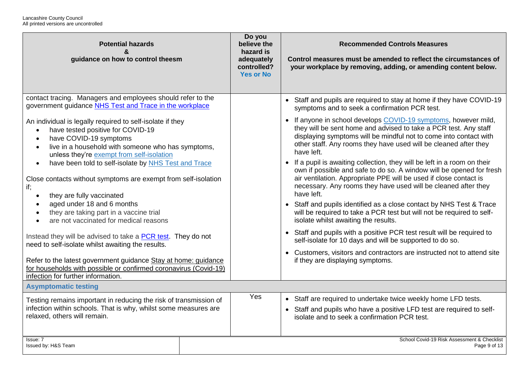| <b>Potential hazards</b><br>&<br>guidance on how to control theesm                                                                                                                                                                                                 | Do you<br>believe the<br>hazard is<br>adequately<br>controlled?<br><b>Yes or No</b> | <b>Recommended Controls Measures</b><br>Control measures must be amended to reflect the circumstances of<br>your workplace by removing, adding, or amending content below.                                                                                                                             |  |
|--------------------------------------------------------------------------------------------------------------------------------------------------------------------------------------------------------------------------------------------------------------------|-------------------------------------------------------------------------------------|--------------------------------------------------------------------------------------------------------------------------------------------------------------------------------------------------------------------------------------------------------------------------------------------------------|--|
| contact tracing. Managers and employees should refer to the<br>government guidance NHS Test and Trace in the workplace                                                                                                                                             |                                                                                     | • Staff and pupils are required to stay at home if they have COVID-19<br>symptoms and to seek a confirmation PCR test.                                                                                                                                                                                 |  |
| An individual is legally required to self-isolate if they<br>have tested positive for COVID-19<br>$\bullet$<br>have COVID-19 symptoms<br>$\bullet$<br>live in a household with someone who has symptoms,<br>$\bullet$<br>unless they're exempt from self-isolation |                                                                                     | • If anyone in school develops COVID-19 symptoms, however mild,<br>they will be sent home and advised to take a PCR test. Any staff<br>displaying symptoms will be mindful not to come into contact with<br>other staff. Any rooms they have used will be cleaned after they<br>have left.             |  |
| have been told to self-isolate by NHS Test and Trace<br>$\bullet$<br>Close contacts without symptoms are exempt from self-isolation<br>if;<br>they are fully vaccinated<br>$\bullet$                                                                               |                                                                                     | • If a pupil is awaiting collection, they will be left in a room on their<br>own if possible and safe to do so. A window will be opened for fresh<br>air ventilation. Appropriate PPE will be used if close contact is<br>necessary. Any rooms they have used will be cleaned after they<br>have left. |  |
| aged under 18 and 6 months<br>$\bullet$<br>they are taking part in a vaccine trial<br>$\bullet$<br>are not vaccinated for medical reasons<br>$\bullet$                                                                                                             |                                                                                     | • Staff and pupils identified as a close contact by NHS Test & Trace<br>will be required to take a PCR test but will not be required to self-<br>isolate whilst awaiting the results.                                                                                                                  |  |
| Instead they will be advised to take a PCR test. They do not<br>need to self-isolate whilst awaiting the results.                                                                                                                                                  |                                                                                     | • Staff and pupils with a positive PCR test result will be required to<br>self-isolate for 10 days and will be supported to do so.                                                                                                                                                                     |  |
| Refer to the latest government guidance Stay at home: guidance<br>for households with possible or confirmed coronavirus (Covid-19)<br>infection for further information.                                                                                           |                                                                                     | • Customers, visitors and contractors are instructed not to attend site<br>if they are displaying symptoms.                                                                                                                                                                                            |  |
| <b>Asymptomatic testing</b>                                                                                                                                                                                                                                        |                                                                                     |                                                                                                                                                                                                                                                                                                        |  |
| Testing remains important in reducing the risk of transmission of<br>infection within schools. That is why, whilst some measures are<br>relaxed, others will remain.                                                                                               |                                                                                     | • Staff are required to undertake twice weekly home LFD tests.<br>• Staff and pupils who have a positive LFD test are required to self-<br>isolate and to seek a confirmation PCR test.                                                                                                                |  |
| Issue: 7<br>Issued by: H&S Team                                                                                                                                                                                                                                    |                                                                                     | School Covid-19 Risk Assessment & Checklist<br>Page 9 of 13                                                                                                                                                                                                                                            |  |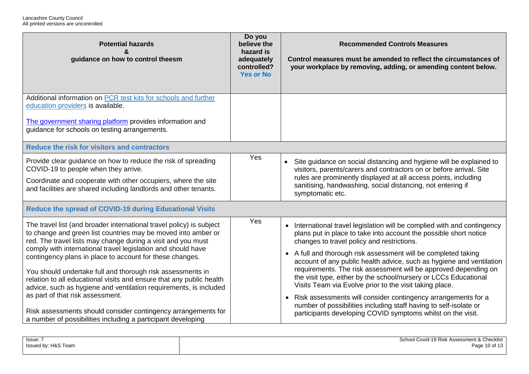| <b>Potential hazards</b><br>guidance on how to control theesm                                                                                                                                                                                                                                                                                                                                                                                                                                                                                                                    | Do you<br>believe the<br>hazard is<br>adequately<br>controlled?<br><b>Yes or No</b> | <b>Recommended Controls Measures</b><br>Control measures must be amended to reflect the circumstances of<br>your workplace by removing, adding, or amending content below.                                                                                                                                                                                                                                                                                                                                                                                                                                                                  |
|----------------------------------------------------------------------------------------------------------------------------------------------------------------------------------------------------------------------------------------------------------------------------------------------------------------------------------------------------------------------------------------------------------------------------------------------------------------------------------------------------------------------------------------------------------------------------------|-------------------------------------------------------------------------------------|---------------------------------------------------------------------------------------------------------------------------------------------------------------------------------------------------------------------------------------------------------------------------------------------------------------------------------------------------------------------------------------------------------------------------------------------------------------------------------------------------------------------------------------------------------------------------------------------------------------------------------------------|
| Additional information on PCR test kits for schools and further<br>education providers is available.<br>The government sharing platform provides information and<br>guidance for schools on testing arrangements.                                                                                                                                                                                                                                                                                                                                                                |                                                                                     |                                                                                                                                                                                                                                                                                                                                                                                                                                                                                                                                                                                                                                             |
| Reduce the risk for visitors and contractors                                                                                                                                                                                                                                                                                                                                                                                                                                                                                                                                     |                                                                                     |                                                                                                                                                                                                                                                                                                                                                                                                                                                                                                                                                                                                                                             |
| Provide clear guidance on how to reduce the risk of spreading<br>COVID-19 to people when they arrive.<br>Coordinate and cooperate with other occupiers, where the site<br>and facilities are shared including landlords and other tenants.                                                                                                                                                                                                                                                                                                                                       | Yes                                                                                 | Site guidance on social distancing and hygiene will be explained to<br>visitors, parents/carers and contractors on or before arrival. Site<br>rules are prominently displayed at all access points, including<br>sanitising, handwashing, social distancing, not entering if<br>symptomatic etc.                                                                                                                                                                                                                                                                                                                                            |
| <b>Reduce the spread of COVID-19 during Educational Visits</b>                                                                                                                                                                                                                                                                                                                                                                                                                                                                                                                   |                                                                                     |                                                                                                                                                                                                                                                                                                                                                                                                                                                                                                                                                                                                                                             |
| The travel list (and broader international travel policy) is subject<br>to change and green list countries may be moved into amber or<br>red. The travel lists may change during a visit and you must<br>comply with international travel legislation and should have<br>contingency plans in place to account for these changes.<br>You should undertake full and thorough risk assessments in<br>relation to all educational visits and ensure that any public health<br>advice, such as hygiene and ventilation requirements, is included<br>as part of that risk assessment. | Yes                                                                                 | International travel legislation will be complied with and contingency<br>$\bullet$<br>plans put in place to take into account the possible short notice<br>changes to travel policy and restrictions.<br>A full and thorough risk assessment will be completed taking<br>$\bullet$<br>account of any public health advice, such as hygiene and ventilation<br>requirements. The risk assessment will be approved depending on<br>the visit type, either by the school/nursery or LCCs Educational<br>Visits Team via Evolve prior to the visit taking place.<br>Risk assessments will consider contingency arrangements for a<br>$\bullet$ |
| Risk assessments should consider contingency arrangements for<br>a number of possibilities including a participant developing                                                                                                                                                                                                                                                                                                                                                                                                                                                    |                                                                                     | number of possibilities including staff having to self-isolate or<br>participants developing COVID symptoms whilst on the visit.                                                                                                                                                                                                                                                                                                                                                                                                                                                                                                            |

| lssue: ،            | School Covid-19 Risk Assessment & Checklist |
|---------------------|---------------------------------------------|
|                     |                                             |
| Issued by: H&S Team | Page 10 of 13                               |
|                     |                                             |
|                     |                                             |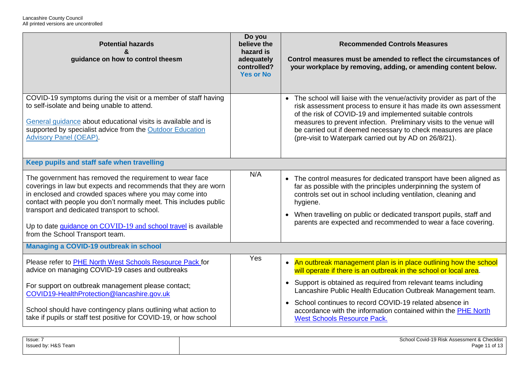| <b>Potential hazards</b><br>&<br>guidance on how to control theesm                                                                                                                                                                                                                                                                                                                                            | Do you<br>believe the<br>hazard is<br>adequately<br>controlled?<br><b>Yes or No</b> | <b>Recommended Controls Measures</b><br>Control measures must be amended to reflect the circumstances of<br>your workplace by removing, adding, or amending content below.                                                                                                                                                                                                                                              |  |  |
|---------------------------------------------------------------------------------------------------------------------------------------------------------------------------------------------------------------------------------------------------------------------------------------------------------------------------------------------------------------------------------------------------------------|-------------------------------------------------------------------------------------|-------------------------------------------------------------------------------------------------------------------------------------------------------------------------------------------------------------------------------------------------------------------------------------------------------------------------------------------------------------------------------------------------------------------------|--|--|
| COVID-19 symptoms during the visit or a member of staff having<br>to self-isolate and being unable to attend.<br>General quidance about educational visits is available and is<br>supported by specialist advice from the Outdoor Education<br><b>Advisory Panel (OEAP).</b>                                                                                                                                  |                                                                                     | The school will liaise with the venue/activity provider as part of the<br>$\bullet$<br>risk assessment process to ensure it has made its own assessment<br>of the risk of COVID-19 and implemented suitable controls<br>measures to prevent infection. Preliminary visits to the venue will<br>be carried out if deemed necessary to check measures are place<br>(pre-visit to Waterpark carried out by AD on 26/8/21). |  |  |
| Keep pupils and staff safe when travelling                                                                                                                                                                                                                                                                                                                                                                    |                                                                                     |                                                                                                                                                                                                                                                                                                                                                                                                                         |  |  |
| The government has removed the requirement to wear face<br>coverings in law but expects and recommends that they are worn<br>in enclosed and crowded spaces where you may come into<br>contact with people you don't normally meet. This includes public<br>transport and dedicated transport to school.<br>Up to date guidance on COVID-19 and school travel is available<br>from the School Transport team. | N/A                                                                                 | The control measures for dedicated transport have been aligned as<br>far as possible with the principles underpinning the system of<br>controls set out in school including ventilation, cleaning and<br>hygiene.<br>• When travelling on public or dedicated transport pupils, staff and<br>parents are expected and recommended to wear a face covering.                                                              |  |  |
| Managing a COVID-19 outbreak in school                                                                                                                                                                                                                                                                                                                                                                        |                                                                                     |                                                                                                                                                                                                                                                                                                                                                                                                                         |  |  |
| Please refer to PHE North West Schools Resource Pack for<br>advice on managing COVID-19 cases and outbreaks                                                                                                                                                                                                                                                                                                   | Yes                                                                                 | • An outbreak management plan is in place outlining how the school<br>will operate if there is an outbreak in the school or local area.                                                                                                                                                                                                                                                                                 |  |  |
| For support on outbreak management please contact;<br>COVID19-HealthProtection@lancashire.gov.uk                                                                                                                                                                                                                                                                                                              |                                                                                     | • Support is obtained as required from relevant teams including<br>Lancashire Public Health Education Outbreak Management team.                                                                                                                                                                                                                                                                                         |  |  |
| School should have contingency plans outlining what action to<br>take if pupils or staff test positive for COVID-19, or how school                                                                                                                                                                                                                                                                            |                                                                                     | • School continues to record COVID-19 related absence in<br>accordance with the information contained within the PHE North<br><b>West Schools Resource Pack.</b>                                                                                                                                                                                                                                                        |  |  |

| lssue: ì            | School Covid-19 Risk Assessment & Checklist |
|---------------------|---------------------------------------------|
| Issued by: H&S Team | Page 11 of 13                               |
|                     |                                             |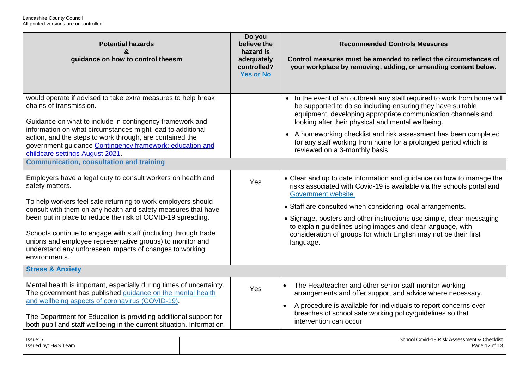| <b>Potential hazards</b><br>&<br>guidance on how to control theesm                                                                                                                                                                                                                                                                                                                                                                                                                         | Do you<br>believe the<br>hazard is<br>adequately<br>controlled?<br><b>Yes or No</b> | <b>Recommended Controls Measures</b><br>Control measures must be amended to reflect the circumstances of<br>your workplace by removing, adding, or amending content below.                                                                                                                                                                                                                                                                                   |  |  |
|--------------------------------------------------------------------------------------------------------------------------------------------------------------------------------------------------------------------------------------------------------------------------------------------------------------------------------------------------------------------------------------------------------------------------------------------------------------------------------------------|-------------------------------------------------------------------------------------|--------------------------------------------------------------------------------------------------------------------------------------------------------------------------------------------------------------------------------------------------------------------------------------------------------------------------------------------------------------------------------------------------------------------------------------------------------------|--|--|
| would operate if advised to take extra measures to help break<br>chains of transmission.<br>Guidance on what to include in contingency framework and<br>information on what circumstances might lead to additional<br>action, and the steps to work through, are contained the<br>government guidance Contingency framework: education and<br>childcare settings August 2021.<br><b>Communication, consultation and training</b>                                                           |                                                                                     | • In the event of an outbreak any staff required to work from home will<br>be supported to do so including ensuring they have suitable<br>equipment, developing appropriate communication channels and<br>looking after their physical and mental wellbeing.<br>• A homeworking checklist and risk assessment has been completed<br>for any staff working from home for a prolonged period which is<br>reviewed on a 3-monthly basis.                        |  |  |
| Employers have a legal duty to consult workers on health and<br>safety matters.<br>To help workers feel safe returning to work employers should<br>consult with them on any health and safety measures that have<br>been put in place to reduce the risk of COVID-19 spreading.<br>Schools continue to engage with staff (including through trade<br>unions and employee representative groups) to monitor and<br>understand any unforeseen impacts of changes to working<br>environments. | Yes                                                                                 | • Clear and up to date information and guidance on how to manage the<br>risks associated with Covid-19 is available via the schools portal and<br>Government website.<br>• Staff are consulted when considering local arrangements.<br>• Signage, posters and other instructions use simple, clear messaging<br>to explain guidelines using images and clear language, with<br>consideration of groups for which English may not be their first<br>language. |  |  |
| <b>Stress &amp; Anxiety</b>                                                                                                                                                                                                                                                                                                                                                                                                                                                                |                                                                                     |                                                                                                                                                                                                                                                                                                                                                                                                                                                              |  |  |
| Mental health is important, especially during times of uncertainty.<br>The government has published guidance on the mental health<br>and wellbeing aspects of coronavirus (COVID-19).<br>The Department for Education is providing additional support for<br>both pupil and staff wellbeing in the current situation. Information                                                                                                                                                          | Yes                                                                                 | The Headteacher and other senior staff monitor working<br>$\bullet$<br>arrangements and offer support and advice where necessary.<br>A procedure is available for individuals to report concerns over<br>$\bullet$<br>breaches of school safe working policy/guidelines so that<br>intervention can occur.                                                                                                                                                   |  |  |
| Issue: 7<br>Issued by: H&S Team                                                                                                                                                                                                                                                                                                                                                                                                                                                            |                                                                                     | School Covid-19 Risk Assessment & Checklist<br>Page 12 of 13                                                                                                                                                                                                                                                                                                                                                                                                 |  |  |